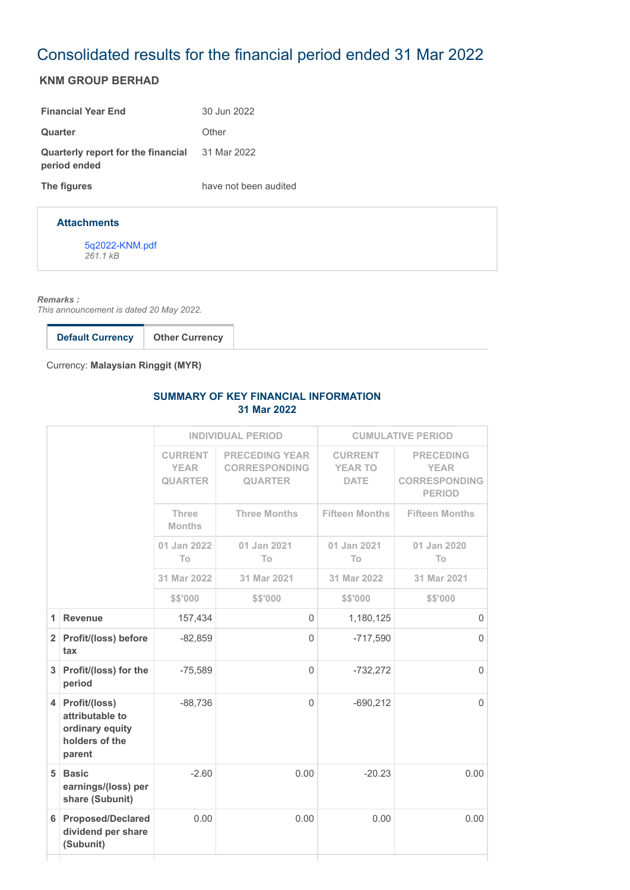# Consolidated results for the financial period ended 31 Mar 2022

## **KNM GROUP BERHAD**

| <b>Financial Year End</b>                                             | 30 Jun 2022           |
|-----------------------------------------------------------------------|-----------------------|
| Quarter                                                               | Other                 |
| <b>Quarterly report for the financial</b> 31 Mar 2022<br>period ended |                       |
| The figures                                                           | have not been audited |

#### **Attachments**

[5q2022-KNM.pdf](https://disclosure.bursamalaysia.com/FileAccess/apbursaweb/download?id=219189&name=EA_FR_ATTACHMENTS) *261.1 kB*

*Remarks :*

*This announcement is dated 20 May 2022.*

Currency: **Malaysian Ringgit (MYR)**

### **SUMMARY OF KEY FINANCIAL INFORMATION 31 Mar 2022**

| <b>CURRENT</b><br><b>PRECEDING YEAR</b><br><b>CURRENT</b><br><b>PRECEDING</b><br><b>YEAR</b><br><b>CORRESPONDING</b><br><b>YEAR TO</b><br><b>YEAR</b><br><b>QUARTER</b><br><b>DATE</b><br><b>QUARTER</b><br><b>PERIOD</b><br><b>Fifteen Months</b><br><b>Fifteen Months</b><br>Three<br><b>Three Months</b><br><b>Months</b><br>01 Jan 2022<br>01 Jan 2021<br>01 Jan 2021<br>01 Jan 2020<br>T <sub>o</sub><br>To<br>T <sub>o</sub><br>T <sub>o</sub><br>31 Mar 2022<br>31 Mar 2021<br>31 Mar 2022<br>31 Mar 2021<br>\$\$'000<br>\$\$'000<br>\$\$'000<br>\$\$'000<br>157,434<br>$\Omega$<br>1<br><b>Revenue</b><br>1,180,125<br>2 Profit/(loss) before<br>$\overline{0}$<br>$-82,859$<br>$-717,590$<br>tax<br>3 Profit/(loss) for the<br>$\Omega$<br>$-75,589$<br>$-732,272$<br>period<br>4 Profit/(loss)<br>$\Omega$<br>$-88,736$<br>$-690,212$<br>attributable to<br>ordinary equity<br>holders of the<br>parent<br>$-2.60$<br>0.00<br>5 Basic<br>$-20.23$<br>earnings/(loss) per<br>share (Subunit)<br><b>Proposed/Declared</b><br>0.00<br>0.00<br>0.00<br>6<br>dividend per share<br>(Subunit) |  | <b>INDIVIDUAL PERIOD</b> |  | <b>CUMULATIVE PERIOD</b> |                      |
|---------------------------------------------------------------------------------------------------------------------------------------------------------------------------------------------------------------------------------------------------------------------------------------------------------------------------------------------------------------------------------------------------------------------------------------------------------------------------------------------------------------------------------------------------------------------------------------------------------------------------------------------------------------------------------------------------------------------------------------------------------------------------------------------------------------------------------------------------------------------------------------------------------------------------------------------------------------------------------------------------------------------------------------------------------------------------------------------------|--|--------------------------|--|--------------------------|----------------------|
|                                                                                                                                                                                                                                                                                                                                                                                                                                                                                                                                                                                                                                                                                                                                                                                                                                                                                                                                                                                                                                                                                                   |  |                          |  |                          | <b>CORRESPONDING</b> |
|                                                                                                                                                                                                                                                                                                                                                                                                                                                                                                                                                                                                                                                                                                                                                                                                                                                                                                                                                                                                                                                                                                   |  |                          |  |                          |                      |
|                                                                                                                                                                                                                                                                                                                                                                                                                                                                                                                                                                                                                                                                                                                                                                                                                                                                                                                                                                                                                                                                                                   |  |                          |  |                          |                      |
|                                                                                                                                                                                                                                                                                                                                                                                                                                                                                                                                                                                                                                                                                                                                                                                                                                                                                                                                                                                                                                                                                                   |  |                          |  |                          |                      |
|                                                                                                                                                                                                                                                                                                                                                                                                                                                                                                                                                                                                                                                                                                                                                                                                                                                                                                                                                                                                                                                                                                   |  |                          |  |                          |                      |
|                                                                                                                                                                                                                                                                                                                                                                                                                                                                                                                                                                                                                                                                                                                                                                                                                                                                                                                                                                                                                                                                                                   |  |                          |  |                          | $\Omega$             |
|                                                                                                                                                                                                                                                                                                                                                                                                                                                                                                                                                                                                                                                                                                                                                                                                                                                                                                                                                                                                                                                                                                   |  |                          |  |                          | $\Omega$             |
|                                                                                                                                                                                                                                                                                                                                                                                                                                                                                                                                                                                                                                                                                                                                                                                                                                                                                                                                                                                                                                                                                                   |  |                          |  |                          | $\Omega$             |
|                                                                                                                                                                                                                                                                                                                                                                                                                                                                                                                                                                                                                                                                                                                                                                                                                                                                                                                                                                                                                                                                                                   |  |                          |  |                          | $\Omega$             |
|                                                                                                                                                                                                                                                                                                                                                                                                                                                                                                                                                                                                                                                                                                                                                                                                                                                                                                                                                                                                                                                                                                   |  |                          |  |                          | 0.00                 |
|                                                                                                                                                                                                                                                                                                                                                                                                                                                                                                                                                                                                                                                                                                                                                                                                                                                                                                                                                                                                                                                                                                   |  |                          |  |                          | 0.00                 |